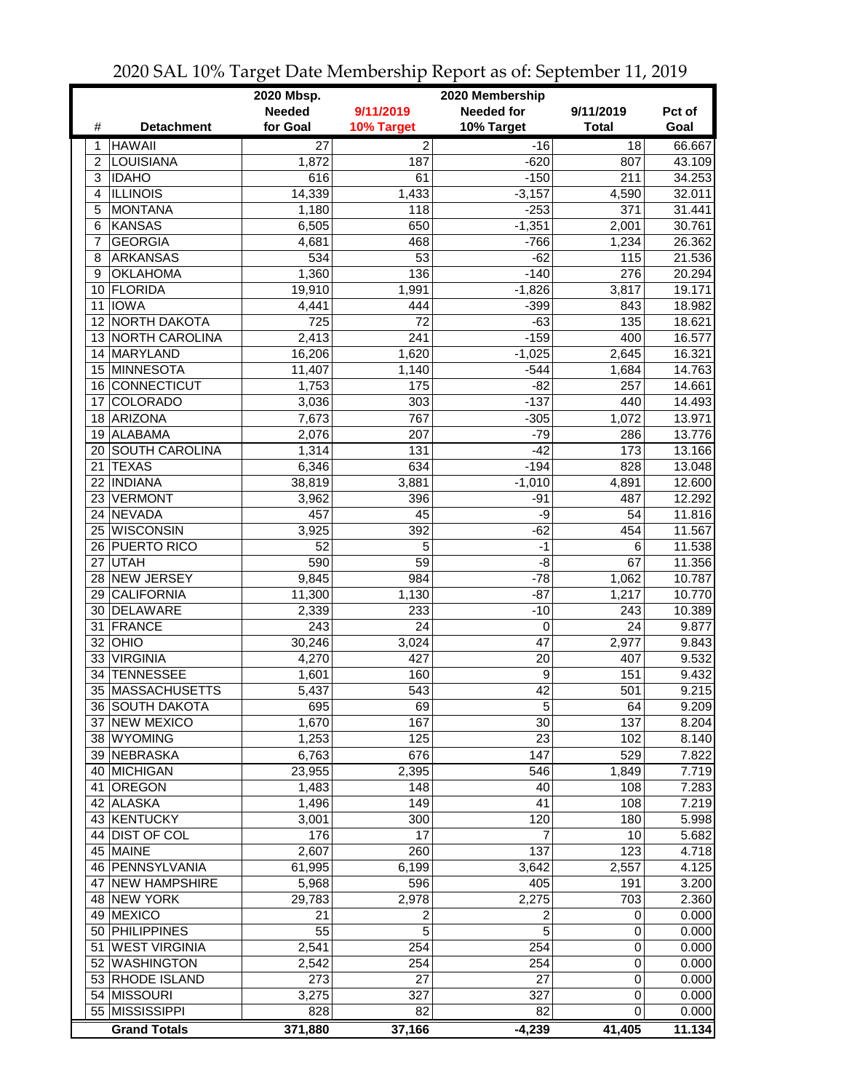|                |                             | 2020 Mbsp.<br>2020 Membership |                 |                   |              |        |  |
|----------------|-----------------------------|-------------------------------|-----------------|-------------------|--------------|--------|--|
|                |                             | <b>Needed</b>                 | 9/11/2019       | <b>Needed for</b> | 9/11/2019    | Pct of |  |
| #              | <b>Detachment</b>           | for Goal                      | 10% Target      | 10% Target        | <b>Total</b> | Goal   |  |
| 1              | <b>HAWAII</b>               | $\overline{27}$               | $\overline{2}$  | $-16$             | 18           | 66.667 |  |
| $\overline{2}$ | <b>LOUISIANA</b>            | 1,872                         | 187             | $-620$            | 807          | 43.109 |  |
| 3              | <b>IDAHO</b>                | 616                           | 61              | $-150$            | 211          | 34.253 |  |
| $\overline{4}$ | <b>ILLINOIS</b>             | 14,339                        | 1,433           | $-3,157$          | 4,590        | 32.011 |  |
| 5              | <b>MONTANA</b>              | 1,180                         | 118             | $-253$            | 371          | 31.441 |  |
| 6              | <b>KANSAS</b>               | 6,505                         | 650             | $-1,351$          | 2,001        | 30.761 |  |
| $\overline{7}$ | <b>GEORGIA</b>              | 4,681                         | 468             | $-766$            | 1,234        | 26.362 |  |
| 8              | <b>ARKANSAS</b>             | 534                           | 53              | $-62$             | 115          | 21.536 |  |
| 9              | <b>OKLAHOMA</b>             | 1,360                         | 136             | $-140$            | 276          | 20.294 |  |
| 10             | FLORIDA                     | 19,910                        | 1,991           | $-1,826$          | 3,817        | 19.171 |  |
| 11             | <b>IOWA</b>                 | 4,441                         | 444             | $-399$            | 843          | 18.982 |  |
| 12             | <b>NORTH DAKOTA</b>         | 725                           | 72              | $-63$             | 135          | 18.621 |  |
|                | 13 NORTH CAROLINA           | 2,413                         | 241             | $-159$            | 400          | 16.577 |  |
|                | 14 MARYLAND                 | 16,206                        | 1,620           | $-1,025$          | 2,645        | 16.321 |  |
|                | 15 MINNESOTA                | 11,407                        | 1,140           | $-544$            | 1,684        | 14.763 |  |
| 16             | CONNECTICUT                 | 1,753                         | 175             | $-82$             | 257          | 14.661 |  |
| 17             | <b>COLORADO</b>             | 3,036                         | 303             | $-137$            | 440          | 14.493 |  |
| 18             | <b>ARIZONA</b>              | 7,673                         | 767             | $-305$            | 1,072        | 13.971 |  |
| 19             | ALABAMA                     | 2,076                         | 207             | $-79$             | 286          | 13.776 |  |
| 20             | <b>SOUTH CAROLINA</b>       | 1,314                         | 131             | $-42$             | 173          | 13.166 |  |
| 21             | <b>TEXAS</b>                | 6,346                         | 634             | $-194$            | 828          | 13.048 |  |
|                | 22 INDIANA                  | 38,819                        | 3,881           | $-1,010$          | 4,891        | 12.600 |  |
| 23             | <b>VERMONT</b>              | 3,962                         | 396             | $-91$             | 487          | 12.292 |  |
| 24             | NEVADA                      | 457                           | 45              | -9                | 54           | 11.816 |  |
| 25             | <b>WISCONSIN</b>            | 3,925                         | 392             | $-62$             | 454          | 11.567 |  |
|                | 26 PUERTO RICO              | 52                            | 5               | $-1$              | 6            | 11.538 |  |
| 27             | UTAH                        | 590                           | $\overline{59}$ | $-\frac{8}{5}$    | 67           | 11.356 |  |
| 28             | NEW JERSEY                  | 9,845                         | 984             | $-78$             | 1,062        | 10.787 |  |
|                | 29 CALIFORNIA               | 11,300                        | 1,130           | $-87$             | 1,217        | 10.770 |  |
|                | 30 DELAWARE                 | 2,339                         | 233             | $-10$             | 243          | 10.389 |  |
|                | 31 FRANCE                   | 243                           | 24              | 0                 | 24           | 9.877  |  |
|                | 32 OHIO                     | 30,246                        | 3,024           | 47                | 2,977        | 9.843  |  |
|                | 33 VIRGINIA                 | 4,270                         | 427             | 20                | 407          | 9.532  |  |
| 34             | <b>TENNESSEE</b>            | 1,601                         | 160             | 9                 | 151          | 9.432  |  |
|                | 35 MASSACHUSETTS            | 5,437                         | 543             | 42                | 501          | 9.215  |  |
|                | 36 SOUTH DAKOTA             |                               | 69              |                   |              | 9.209  |  |
|                | 37 NEW MEXICO               | 695<br>1,670                  | 167             | 5<br>30           | 64<br>137    | 8.204  |  |
|                | 38 WYOMING                  | 1,253                         | 125             | 23                | 102          | 8.140  |  |
|                | 39 NEBRASKA                 | 6,763                         | 676             | 147               | 529          | 7.822  |  |
|                | 40 MICHIGAN                 | 23,955                        | 2,395           | 546               | 1,849        | 7.719  |  |
| 41.            | <b>OREGON</b>               |                               | 148             | 40                |              | 7.283  |  |
|                | 42 ALASKA                   | 1,483                         | 149             | 41                | 108<br>108   | 7.219  |  |
|                | 43 KENTUCKY                 | 1,496                         | 300             | 120               | 180          | 5.998  |  |
|                | 44 DIST OF COL              | 3,001                         | 17              | 7                 |              |        |  |
|                |                             | 176                           |                 |                   | 10           | 5.682  |  |
|                | 45 MAINE<br>46 PENNSYLVANIA | 2,607<br>61,995               | 260             | 137<br>3,642      | 123          | 4.718  |  |
|                | 47 NEW HAMPSHIRE            |                               | 6,199           | 405               | 2,557        | 4.125  |  |
|                |                             | 5,968                         | 596             |                   | 191          | 3.200  |  |
|                | 48 NEW YORK                 | 29,783                        | 2,978           | 2,275             | 703          | 2.360  |  |
|                | 49 MEXICO                   | 21                            | 2               | 2                 | 0            | 0.000  |  |
|                | 50 PHILIPPINES              | 55                            | $\overline{5}$  | $\overline{5}$    | 0            | 0.000  |  |
|                | 51 WEST VIRGINIA            | 2,541                         | 254             | 254               | 0            | 0.000  |  |
|                | 52 WASHINGTON               | 2,542                         | 254             | 254               | 0            | 0.000  |  |
|                | 53 RHODE ISLAND             | 273                           | 27              | 27                | 0            | 0.000  |  |
|                | 54 MISSOURI                 | 3,275                         | 327             | 327               | 0            | 0.000  |  |
|                | 55 MISSISSIPPI              | 828                           | 82              | 82                | 0            | 0.000  |  |
|                | <b>Grand Totals</b>         | 371,880                       | 37,166          | $-4,239$          | 41,405       | 11.134 |  |

2020 SAL 10% Target Date Membership Report as of: September 11, 2019